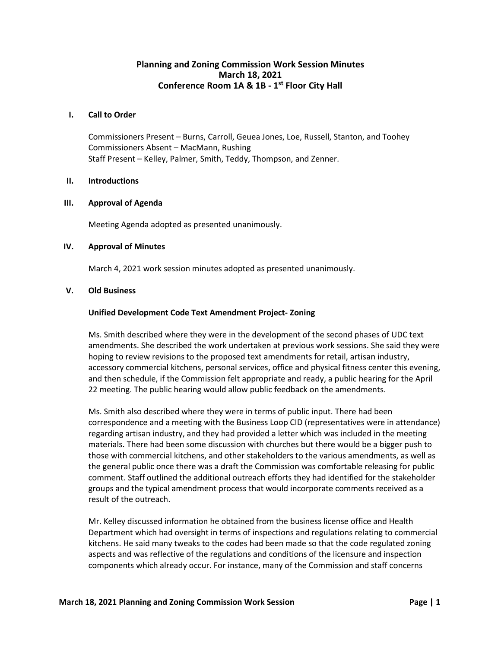# **Planning and Zoning Commission Work Session Minutes March 18, 2021 Conference Room 1A & 1B - 1 st Floor City Hall**

#### **I. Call to Order**

Commissioners Present – Burns, Carroll, Geuea Jones, Loe, Russell, Stanton, and Toohey Commissioners Absent – MacMann, Rushing Staff Present – Kelley, Palmer, Smith, Teddy, Thompson, and Zenner.

#### **II. Introductions**

## **III. Approval of Agenda**

Meeting Agenda adopted as presented unanimously.

## **IV. Approval of Minutes**

March 4, 2021 work session minutes adopted as presented unanimously.

## **V. Old Business**

## **Unified Development Code Text Amendment Project- Zoning**

Ms. Smith described where they were in the development of the second phases of UDC text amendments. She described the work undertaken at previous work sessions. She said they were hoping to review revisions to the proposed text amendments for retail, artisan industry, accessory commercial kitchens, personal services, office and physical fitness center this evening, and then schedule, if the Commission felt appropriate and ready, a public hearing for the April 22 meeting. The public hearing would allow public feedback on the amendments.

Ms. Smith also described where they were in terms of public input. There had been correspondence and a meeting with the Business Loop CID (representatives were in attendance) regarding artisan industry, and they had provided a letter which was included in the meeting materials. There had been some discussion with churches but there would be a bigger push to those with commercial kitchens, and other stakeholders to the various amendments, as well as the general public once there was a draft the Commission was comfortable releasing for public comment. Staff outlined the additional outreach efforts they had identified for the stakeholder groups and the typical amendment process that would incorporate comments received as a result of the outreach.

Mr. Kelley discussed information he obtained from the business license office and Health Department which had oversight in terms of inspections and regulations relating to commercial kitchens. He said many tweaks to the codes had been made so that the code regulated zoning aspects and was reflective of the regulations and conditions of the licensure and inspection components which already occur. For instance, many of the Commission and staff concerns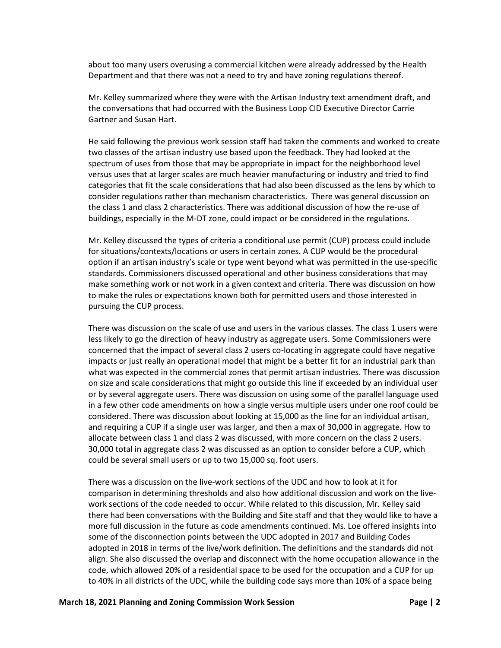about too many users overusing a commercial kitchen were already addressed by the Health Department and that there was not a need to try and have zoning regulations thereof.

Mr. Kelley summarized where they were with the Artisan Industry text amendment draft, and the conversations that had occurred with the Business Loop CID Executive Director Carrie Gartner and Susan Hart.

He said following the previous work session staff had taken the comments and worked to create two classes of the artisan industry use based upon the feedback. They had looked at the spectrum of uses from those that may be appropriate in impact for the neighborhood level versus uses that at larger scales are much heavier manufacturing or industry and tried to find categories that fit the scale considerations that had also been discussed as the lens by which to consider regulations rather than mechanism characteristics. There was general discussion on the class 1 and class 2 characteristics. There was additional discussion of how the re-use of buildings, especially in the M-DT zone, could impact or be considered in the regulations.

Mr. Kelley discussed the types of criteria a conditional use permit (CUP) process could include for situations/contexts/locations or users in certain zones. A CUP would be the procedural option if an artisan industry's scale or type went beyond what was permitted in the use-specific standards. Commissioners discussed operational and other business considerations that may make something work or not work in a given context and criteria. There was discussion on how to make the rules or expectations known both for permitted users and those interested in pursuing the CUP process.

There was discussion on the scale of use and users in the various classes. The class 1 users were less likely to go the direction of heavy industry as aggregate users. Some Commissioners were concerned that the impact of several class 2 users co-locating in aggregate could have negative impacts or just really an operational model that might be a better fit for an industrial park than what was expected in the commercial zones that permit artisan industries. There was discussion on size and scale considerations that might go outside this line if exceeded by an individual user or by several aggregate users. There was discussion on using some of the parallel language used in a few other code amendments on how a single versus multiple users under one roof could be considered. There was discussion about looking at 15,000 as the line for an individual artisan, and requiring a CUP if a single user was larger, and then a max of 30,000 in aggregate. How to allocate between class 1 and class 2 was discussed, with more concern on the class 2 users. 30,000 total in aggregate class 2 was discussed as an option to consider before a CUP, which could be several small users or up to two 15,000 sq. foot users.

There was a discussion on the live-work sections of the UDC and how to look at it for comparison in determining thresholds and also how additional discussion and work on the livework sections of the code needed to occur. While related to this discussion, Mr. Kelley said there had been conversations with the Building and Site staff and that they would like to have a more full discussion in the future as code amendments continued. Ms. Loe offered insights into some of the disconnection points between the UDC adopted in 2017 and Building Codes adopted in 2018 in terms of the live/work definition. The definitions and the standards did not align. She also discussed the overlap and disconnect with the home occupation allowance in the code, which allowed 20% of a residential space to be used for the occupation and a CUP for up to 40% in all districts of the UDC, while the building code says more than 10% of a space being